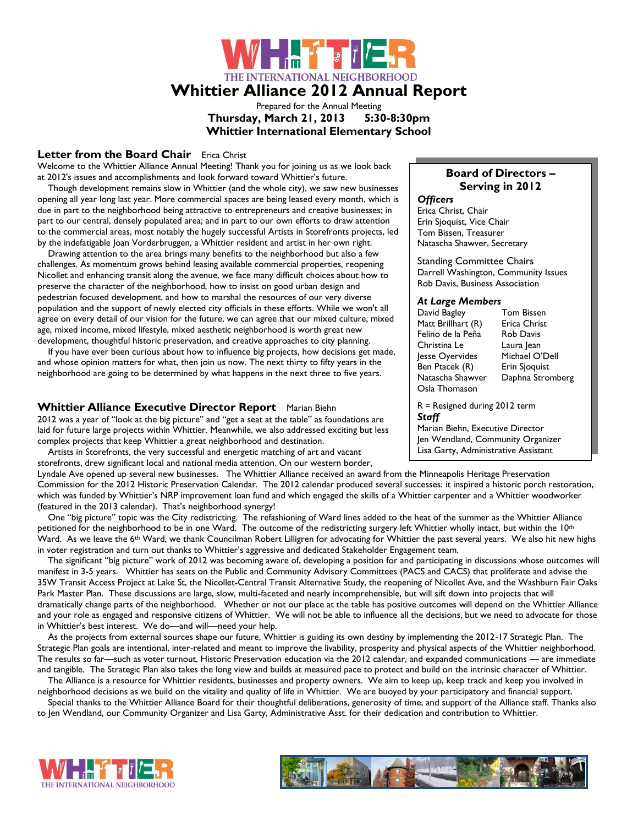# ▕▛▏<mark>▗▕▛▚▝▝▆</mark>▛▏▏ THE INTERNATIONAL NEIGHBORHOOD **Whittier Alliance 2012 Annual Report**

Prepared for the Annual Meeting **Thursday, March 21, 2013 5:30-8:30pm Whittier International Elementary School**

### **Letter from the Board Chair** Erica Christ

Welcome to the Whittier Alliance Annual Meeting! Thank you for joining us as we look back at 2012's issues and accomplishments and look forward toward Whittier's future.

 Though development remains slow in Whittier (and the whole city), we saw new businesses opening all year long last year. More commercial spaces are being leased every month, which is due in part to the neighborhood being attractive to entrepreneurs and creative businesses; in part to our central, densely populated area; and in part to our own efforts to draw attention to the commercial areas, most notably the hugely successful Artists in Storefronts projects, led by the indefatigable Joan Vorderbruggen, a Whittier resident and artist in her own right.

 Drawing attention to the area brings many benefits to the neighborhood but also a few challenges. As momentum grows behind leasing available commercial properties, reopening Nicollet and enhancing transit along the avenue, we face many difficult choices about how to preserve the character of the neighborhood, how to insist on good urban design and pedestrian focused development, and how to marshal the resources of our very diverse population and the support of newly elected city officials in these efforts. While we won't all agree on every detail of our vision for the future, we can agree that our mixed culture, mixed age, mixed income, mixed lifestyle, mixed aesthetic neighborhood is worth great new development, thoughtful historic preservation, and creative approaches to city planning.

 If you have ever been curious about how to influence big projects, how decisions get made, and whose opinion matters for what, then join us now. The next thirty to fifty years in the neighborhood are going to be determined by what happens in the next three to five years.

### **Whittier Alliance Executive Director Report** Marian Biehn

2012 was a year of "look at the big picture" and "get a seat at the table" as foundations are laid for future large projects within Whittier. Meanwhile, we also addressed exciting but less complex projects that keep Whittier a great neighborhood and destination.

 Artists in Storefronts, the very successful and energetic matching of art and vacant storefronts, drew significant local and national media attention. On our western border,

#### Lyndale Ave opened up several new businesses. The Whittier Alliance received an award from the Minneapolis Heritage Preservation Commission for the 2012 Historic Preservation Calendar. The 2012 calendar produced several successes: it inspired a historic porch restoration, which was funded by Whittier's NRP improvement loan fund and which engaged the skills of a Whittier carpenter and a Whittier woodworker (featured in the 2013 calendar). That's neighborhood synergy!

 One "big picture" topic was the City redistricting. The refashioning of Ward lines added to the heat of the summer as the Whittier Alliance petitioned for the neighborhood to be in one Ward. The outcome of the redistricting surgery left Whittier wholly intact, but within the  $10^{\rm th}$ Ward. As we leave the 6<sup>th</sup> Ward, we thank Councilman Robert Lilligren for advocating for Whittier the past several years. We also hit new highs in voter registration and turn out thanks to Whittier's aggressive and dedicated Stakeholder Engagement team.

 The significant "big picture" work of 2012 was becoming aware of, developing a position for and participating in discussions whose outcomes will manifest in 3-5 years. Whittier has seats on the Public and Community Advisory Committees (PACS and CACS) that proliferate and advise the 35W Transit Access Project at Lake St, the Nicollet-Central Transit Alternative Study, the reopening of Nicollet Ave, and the Washburn Fair Oaks Park Master Plan. These discussions are large, slow, multi-faceted and nearly incomprehensible, but will sift down into projects that will dramatically change parts of the neighborhood. Whether or not our place at the table has positive outcomes will depend on the Whittier Alliance and your role as engaged and responsive citizens of Whittier. We will not be able to influence all the decisions, but we need to advocate for those in Whittier's best interest. We do—and will—need your help.

 As the projects from external sources shape our future, Whittier is guiding its own destiny by implementing the 2012-17 Strategic Plan. The Strategic Plan goals are intentional, inter-related and meant to improve the livability, prosperity and physical aspects of the Whittier neighborhood. The results so far—such as voter turnout, Historic Preservation education via the 2012 calendar, and expanded communications — are immediate and tangible. The Strategic Plan also takes the long view and builds at measured pace to protect and build on the intrinsic character of Whittier.

 The Alliance is a resource for Whittier residents, businesses and property owners. We aim to keep up, keep track and keep you involved in neighborhood decisions as we build on the vitality and quality of life in Whittier. We are buoyed by your participatory and financial support.

 Special thanks to the Whittier Alliance Board for their thoughtful deliberations, generosity of time, and support of the Alliance staff. Thanks also to Jen Wendland, our Community Organizer and Lisa Garty, Administrative Asst. for their dedication and contribution to Whittier.

# **Board of Directors – Serving in 2012**

# *Officers*

Erica Christ, Chair Erin Sjoquist, Vice Chair Tom Bissen, Treasurer Natascha Shawver, Secretary

Standing Committee Chairs Darrell Washington, Community Issues Rob Davis, Business Association

#### *At Large Members*

David Bagley Tom Bissen Matt Brillhart (R) Erica Christ Felino de la Peña Rob Davis Christina Le Laura Jean Jesse Oyervides Michael O'Dell<br>Ben Ptacek (R) Erin Sjoquist Ben Ptacek (R) Natascha Shawver Daphna Stromberg Osla Thomason

R = Resigned during 2012 term *Staff* 

Marian Biehn, Executive Director Jen Wendland, Community Organizer Lisa Garty, Administrative Assistant



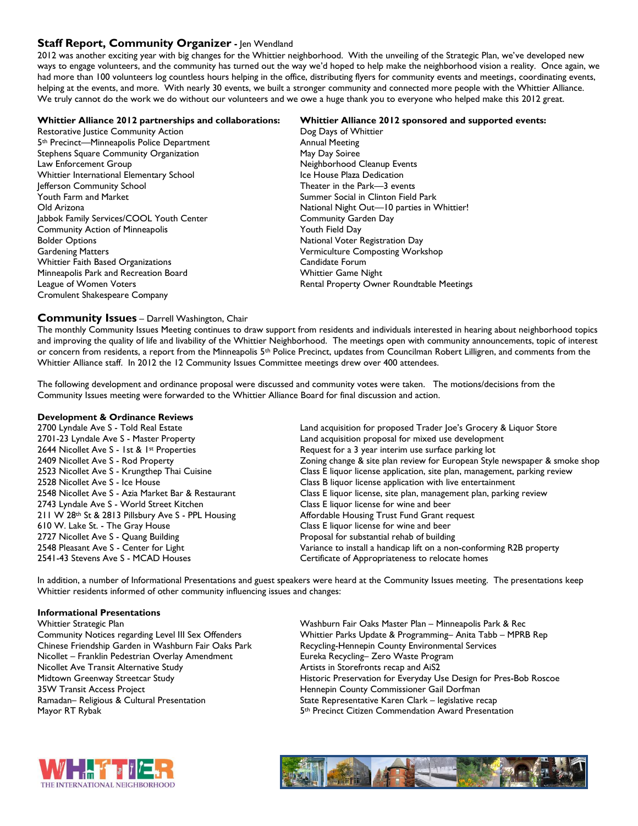## **Staff Report, Community Organizer -** Jen Wendland

2012 was another exciting year with big changes for the Whittier neighborhood. With the unveiling of the Strategic Plan, we've developed new ways to engage volunteers, and the community has turned out the way we'd hoped to help make the neighborhood vision a reality. Once again, we had more than 100 volunteers log countless hours helping in the office, distributing flyers for community events and meetings, coordinating events, helping at the events, and more. With nearly 30 events, we built a stronger community and connected more people with the Whittier Alliance. We truly cannot do the work we do without our volunteers and we owe a huge thank you to everyone who helped make this 2012 great.

#### **Whittier Alliance 2012 partnerships and collaborations: Whittier Alliance 2012 sponsored and supported events:** Restorative Justice Community Action **Dog Days of Whittier** Dog Days of Whittier 5<sup>th</sup> Precinct—Minneapolis Police Department Annual Meeting Stephens Square Community Organization May Day Soiree Law Enforcement Group Neighborhood Cleanup Events Whittier International Elementary School **Ice House Plaza Dedication** Jefferson Community School Theater in the Park—3 events Youth Farm and Market National Commer Social in Clinton Field Park Old Arizona **National Night Out—10** parties in Whittier! Jabbok Family Services/COOL Youth Center **Community Garden Day** Community Action of Minneapolis **The Community Action of Minneapolis Youth Field Day Bolder Options National Voter Registration Day** Gardening Matters Vermiculture Composting Workshop Whittier Faith Based Organizations **Candidate Forum** Minneapolis Park and Recreation Board Whittier Game Night League of Women Voters **Rental Property Owner Roundtable Meetings** Cromulent Shakespeare Company

#### **Community Issues** – Darrell Washington, Chair

The monthly Community Issues Meeting continues to draw support from residents and individuals interested in hearing about neighborhood topics and improving the quality of life and livability of the Whittier Neighborhood. The meetings open with community announcements, topic of interest or concern from residents, a report from the Minneapolis 5<sup>th</sup> Police Precinct, updates from Councilman Robert Lilligren, and comments from the Whittier Alliance staff. In 2012 the 12 Community Issues Committee meetings drew over 400 attendees.

The following development and ordinance proposal were discussed and community votes were taken. The motions/decisions from the Community Issues meeting were forwarded to the Whittier Alliance Board for final discussion and action.

# **Development & Ordinance Reviews**

2644 Nicollet Ave S - 1st & 1<sup>st</sup> Properties Request for a 3 year interim use surface parking lot 2743 Lyndale Ave S - World Street Kitchen Class E liquor license for wine and beer 211 W 28<sup>th</sup> St & 2813 Pillsbury Ave S - PPL Housing Affordable Housing Trust Fund Grant request 610 W. Lake St. - The Gray House Class E liquor license for wine and beer 2727 Nicollet Ave S - Quang Building Proposal for substantial rehab of building 2541-43 Stevens Ave S - MCAD Houses Certificate of Appropriateness to relocate homes

Land acquisition for proposed Trader Joe's Grocery & Liquor Store 2701-23 Lyndale Ave S - Master Property Land acquisition proposal for mixed use development 2409 Nicollet Ave S - Rod Property **Zoning change & site plan review for European Style newspaper & smoke shop** 2523 Nicollet Ave S - Krungthep Thai Cuisine Class E liquor license application, site plan, management, parking review 2528 Nicollet Ave S - Ice House Class B liquor license application with live entertainment 2548 Nicollet Ave S - Azia Market Bar & Restaurant Class E liquor license, site plan, management plan, parking review 2548 Pleasant Ave S - Center for Light Variance to install a handicap lift on a non-conforming R2B property

In addition, a number of Informational Presentations and guest speakers were heard at the Community Issues meeting. The presentations keep Whittier residents informed of other community influencing issues and changes:

#### **Informational Presentations**

Whittier Strategic Plan Washburn Fair Oaks Master Plan – Minneapolis Park & Rec Chinese Friendship Garden in Washburn Fair Oaks Park Recycling-Hennepin County Environmental Services Nicollet – Franklin Pedestrian Overlay Amendment Eureka Recycling– Zero Waste Program Nicollet Ave Transit Alternative Study **Artists in Storefronts recap and AiS2** Artists in Storefronts recap and AiS2 35W Transit Access Project Hennepin County Commissioner Gail Dorfman Ramadan– Religious & Cultural Presentation State Representative Karen Clark – legislative recap

Community Notices regarding Level III Sex Offenders Whittier Parks Update & Programming– Anita Tabb – MPRB Rep Midtown Greenway Streetcar Study **Historic Preservation for Everyday Use Design for Pres-Bob Roscoe** Mayor RT Rybak **5th Precinct Citizen Commendation Award Presentation** 



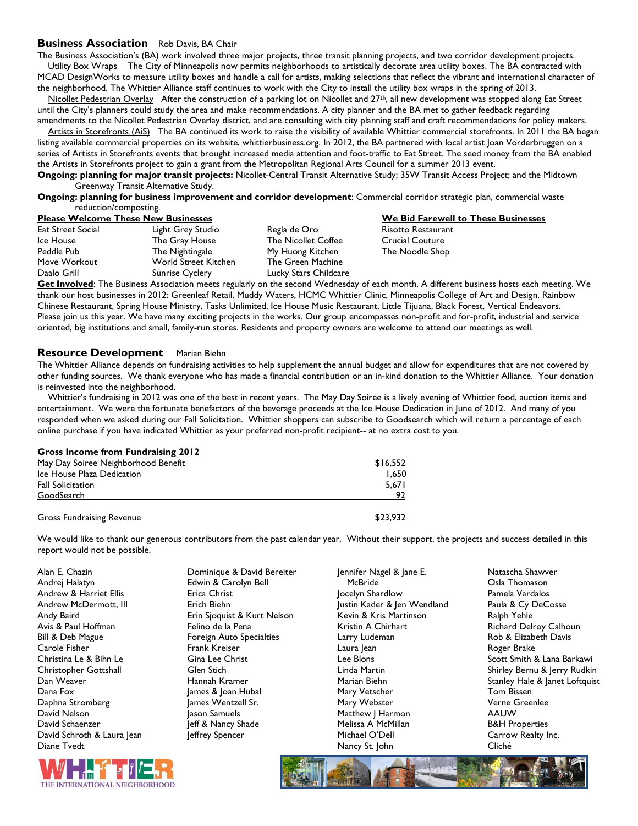#### **Business Association** Rob Davis, BA Chair

The Business Association's (BA) work involved three major projects, three transit planning projects, and two corridor development projects. Utility Box Wraps The City of Minneapolis now permits neighborhoods to artistically decorate area utility boxes. The BA contracted with MCAD DesignWorks to measure utility boxes and handle a call for artists, making selections that reflect the vibrant and international character of the neighborhood. The Whittier Alliance staff continues to work with the City to install the utility box wraps in the spring of 2013.

Nicollet Pedestrian Overlay After the construction of a parking lot on Nicollet and 27<sup>th</sup>, all new development was stopped along Eat Street until the City's planners could study the area and make recommendations. A city planner and the BA met to gather feedback regarding amendments to the Nicollet Pedestrian Overlay district, and are consulting with city planning staff and craft recommendations for policy makers.

Artists in Storefronts (AiS) The BA continued its work to raise the visibility of available Whittier commercial storefronts. In 2011 the BA began listing available commercial properties on its website, whittierbusiness.org. In 2012, the BA partnered with local artist Joan Vorderbruggen on a series of Artists in Storefronts events that brought increased media attention and foot-traffic to Eat Street. The seed money from the BA enabled the Artists in Storefronts project to gain a grant from the Metropolitan Regional Arts Council for a summer 2013 event.

**Ongoing: planning for major transit projects:** Nicollet-Central Transit Alternative Study; 35W Transit Access Project; and the Midtown Greenway Transit Alternative Study.

**Ongoing: planning for business improvement and corridor development**: Commercial corridor strategic plan, commercial waste reduction/composting.<br>**Please Welcome These New Businesses** 

| Eat Street Social | Light Grey Studio           | Regla de Oro               |
|-------------------|-----------------------------|----------------------------|
| Ice House         | The Gray House              | <b>The Nicollet Coffee</b> |
| Peddle Pub        | The Nightingale             | My Huong Kitchen           |
| Move Workout      | <b>World Street Kitchen</b> | The Green Machine          |
| Daalo Grill       | <b>Sunrise Cyclery</b>      | Lucky Stars Childcare      |
|                   |                             |                            |

**We Bid Farewell to These Businesses Oro Street Street Street Street Street Street Street Street Street Street Street Street Street Street Street** Ilet Coffee Crucial Coutur<mark>e Crucial Couture</mark><br>In The Noodle Shoi The Noodle Shop

**Get Involved**: The Business Association meets regularly on the second Wednesday of each month. A different business hosts each meeting. We thank our host businesses in 2012: Greenleaf Retail, Muddy Waters, HCMC Whittier Clinic, Minneapolis College of Art and Design, Rainbow Chinese Restaurant, Spring House Ministry, Tasks Unlimited, Ice House Music Restaurant, Little Tijuana, Black Forest, Vertical Endeavors. Please join us this year. We have many exciting projects in the works. Our group encompasses non-profit and for-profit, industrial and service oriented, big institutions and small, family-run stores. Residents and property owners are welcome to attend our meetings as well.

#### **Resource Development** Marian Biehn

The Whittier Alliance depends on fundraising activities to help supplement the annual budget and allow for expenditures that are not covered by other funding sources. We thank everyone who has made a financial contribution or an in-kind donation to the Whittier Alliance. Your donation is reinvested into the neighborhood.

 Whittier's fundraising in 2012 was one of the best in recent years. The May Day Soiree is a lively evening of Whittier food, auction items and entertainment. We were the fortunate benefactors of the beverage proceeds at the Ice House Dedication in June of 2012. And many of you responded when we asked during our Fall Solicitation. Whittier shoppers can subscribe to Goodsearch which will return a percentage of each online purchase if you have indicated Whittier as your preferred non-profit recipient-- at no extra cost to you.

#### **Gross Income from Fundraising 2012**

| May Day Soiree Neighborhood Benefit | \$16.552 |
|-------------------------------------|----------|
| Ice House Plaza Dedication          | 1.650    |
| <b>Fall Solicitation</b>            | 5.671    |
| GoodSearch                          | 97       |
|                                     |          |

Gross Fundraising Revenue **\$23,932** 

We would like to thank our generous contributors from the past calendar year. Without their support, the projects and success detailed in this report would not be possible.

| Alan E. Chazin             | Dominique & David Bereiter  | Jennifer Nagel & Jane E.    |  |
|----------------------------|-----------------------------|-----------------------------|--|
| Andrej Halatyn             | Edwin & Carolyn Bell        | McBride                     |  |
| Andrew & Harriet Ellis     | Erica Christ                | Jocelyn Shardlow            |  |
| Andrew McDermott, III      | Erich Biehn                 | Justin Kader & Jen Wendland |  |
| Andy Baird                 | Erin Sjoquist & Kurt Nelson | Kevin & Kris Martinson      |  |
| Avis & Paul Hoffman        | Felino de la Pena           | Kristin A Chirhart          |  |
| Bill & Deb Mague           | Foreign Auto Specialties    | Larry Ludeman               |  |
| Carole Fisher              | Frank Kreiser               | Laura Jean                  |  |
| Christina Le & Bihn Le     | Gina Lee Christ             | Lee Blons                   |  |
| Christopher Gottshall      | Glen Stich                  | Linda Martin                |  |
| Dan Weaver                 | Hannah Kramer               | Marian Biehn                |  |
| Dana Fox                   | James & Joan Hubal          | Mary Vetscher               |  |
| Daphna Stromberg           | James Wentzell Sr.          | Mary Webster                |  |
| David Nelson               | Jason Samuels               | Matthew   Harmon            |  |
| David Schaenzer            | Jeff & Nancy Shade          | Melissa A McMillan          |  |
| David Schroth & Laura Jean | leffrey Spencer             | Michael O'Dell              |  |
| Diane Tvedt                |                             | Nancy St. John              |  |
|                            |                             |                             |  |

Natascha Shawver Osla Thomason Pamela Vardalos Paula & Cy DeCosse Ralph Yehle Richard Delroy Calhoun Rob & Elizabeth Davis Roger Brake Scott Smith & Lana Barkawi Shirley Bernu & Jerry Rudkin Stanley Hale & Janet Loftquist Tom Bissen Verne Greenlee AAUW B&H Properties Carrow Realty Inc. Cliché



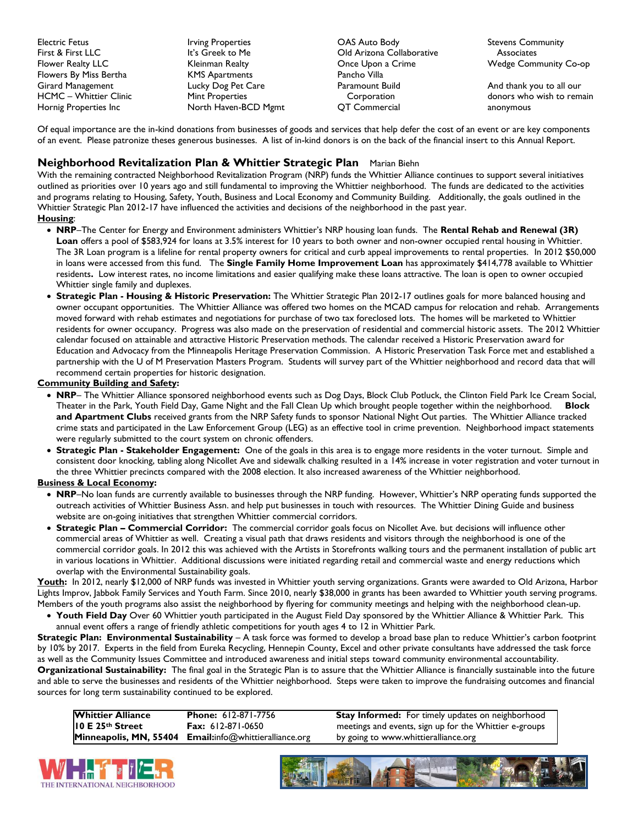Electric Fetus First & First LLC Flower Realty LLC Flowers By Miss Bertha Girard Management HCMC – Whittier Clinic Hornig Properties Inc

Irving Properties It's Greek to Me Kleinman Realty KMS Apartments Lucky Dog Pet Care Mint Properties North Haven-BCD Mgmt

OAS Auto Body Old Arizona Collaborative Once Upon a Crime Pancho Villa Paramount Build **Corporation** QT Commercial

Stevens Community **Associates** Wedge Community Co-op

And thank you to all our donors who wish to remain anonymous

Of equal importance are the in-kind donations from businesses of goods and services that help defer the cost of an event or are key components of an event. Please patronize theses generous businesses. A list of in-kind donors is on the back of the financial insert to this Annual Report.

# **Neighborhood Revitalization Plan & Whittier Strategic Plan** Marian Biehn

With the remaining contracted Neighborhood Revitalization Program (NRP) funds the Whittier Alliance continues to support several initiatives outlined as priorities over 10 years ago and still fundamental to improving the Whittier neighborhood. The funds are dedicated to the activities and programs relating to Housing, Safety, Youth, Business and Local Economy and Community Building. Additionally, the goals outlined in the Whittier Strategic Plan 2012-17 have influenced the activities and decisions of the neighborhood in the past year.

#### **Housing**:

- **NRP**–The Center for Energy and Environment administers Whittier's NRP housing loan funds. The **Rental Rehab and Renewal (3R) Loan** offers a pool of \$583,924 for loans at 3.5% interest for 10 years to both owner and non-owner occupied rental housing in Whittier. The 3R Loan program is a lifeline for rental property owners for critical and curb appeal improvements to rental properties. In 2012 \$50,000 in loans were accessed from this fund. The **Single Family Home Improvement Loan** has approximately \$414,778 available to Whittier residents**.** Low interest rates, no income limitations and easier qualifying make these loans attractive. The loan is open to owner occupied Whittier single family and duplexes.
- **Strategic Plan - Housing & Historic Preservation:** The Whittier Strategic Plan 2012-17 outlines goals for more balanced housing and owner occupant opportunities. The Whittier Alliance was offered two homes on the MCAD campus for relocation and rehab. Arrangements moved forward with rehab estimates and negotiations for purchase of two tax foreclosed lots. The homes will be marketed to Whittier residents for owner occupancy. Progress was also made on the preservation of residential and commercial historic assets. The 2012 Whittier calendar focused on attainable and attractive Historic Preservation methods. The calendar received a Historic Preservation award for Education and Advocacy from the Minneapolis Heritage Preservation Commission. A Historic Preservation Task Force met and established a partnership with the U of M Preservation Masters Program. Students will survey part of the Whittier neighborhood and record data that will recommend certain properties for historic designation.

#### **Community Building and Safety:**

- **NRP** The Whittier Alliance sponsored neighborhood events such as Dog Days, Block Club Potluck, the Clinton Field Park Ice Cream Social, Theater in the Park, Youth Field Day, Game Night and the Fall Clean Up which brought people together within the neighborhood. **Block and Apartment Clubs** received grants from the NRP Safety funds to sponsor National Night Out parties.The Whittier Alliance tracked crime stats and participated in the Law Enforcement Group (LEG) as an effective tool in crime prevention. Neighborhood impact statements were regularly submitted to the court system on chronic offenders.
- **Strategic Plan - Stakeholder Engagement:** One of the goals in this area is to engage more residents in the voter turnout. Simple and consistent door knocking, tabling along Nicollet Ave and sidewalk chalking resulted in a 14% increase in voter registration and voter turnout in the three Whittier precincts compared with the 2008 election. It also increased awareness of the Whittier neighborhood.

#### **Business & Local Economy:**

- NRP–No loan funds are currently available to businesses through the NRP funding. However, Whittier's NRP operating funds supported the outreach activities of Whittier Business Assn. and help put businesses in touch with resources. The Whittier Dining Guide and business website are on-going initiatives that strengthen Whittier commercial corridors.
- **Strategic Plan – Commercial Corridor:** The commercial corridor goals focus on Nicollet Ave. but decisions will influence other commercial areas of Whittier as well. Creating a visual path that draws residents and visitors through the neighborhood is one of the commercial corridor goals. In 2012 this was achieved with the Artists in Storefronts walking tours and the permanent installation of public art in various locations in Whittier. Additional discussions were initiated regarding retail and commercial waste and energy reductions which overlap with the Environmental Sustainability goals.

**Youth:** In 2012, nearly \$12,000 of NRP funds was invested in Whittier youth serving organizations. Grants were awarded to Old Arizona, Harbor Lights Improv, Jabbok Family Services and Youth Farm. Since 2010, nearly \$38,000 in grants has been awarded to Whittier youth serving programs. Members of the youth programs also assist the neighborhood by flyering for community meetings and helping with the neighborhood clean-up.

 **Youth Field Day** Over 60 Whittier youth participated in the August Field Day sponsored by the Whittier Alliance & Whittier Park. This annual event offers a range of friendly athletic competitions for youth ages 4 to 12 in Whittier Park.

**Strategic Plan: Environmental Sustainability** – A task force was formed to develop a broad base plan to reduce Whittier's carbon footprint by 10% by 2017. Experts in the field from Eureka Recycling, Hennepin County, Excel and other private consultants have addressed the task force as well as the Community Issues Committee and introduced awareness and initial steps toward community environmental accountability. **Organizational Sustainability:** The final goal in the Strategic Plan is to assure that the Whittier Alliance is financially sustainable into the future

and able to serve the businesses and residents of the Whittier neighborhood. Steps were taken to improve the fundraising outcomes and financial sources for long term sustainability continued to be explored.

**Whittier Alliance Phone:** 612-871-7756 **Stay Informed:** For timely updates on neighborhood **10 E 25th Street Fax:** 612-871-0650 meetings and events, sign up for the Whittier e-groups **Minneapolis, MN, 55404 Email:**info@whittieralliance.org by going to www.whittieralliance.org



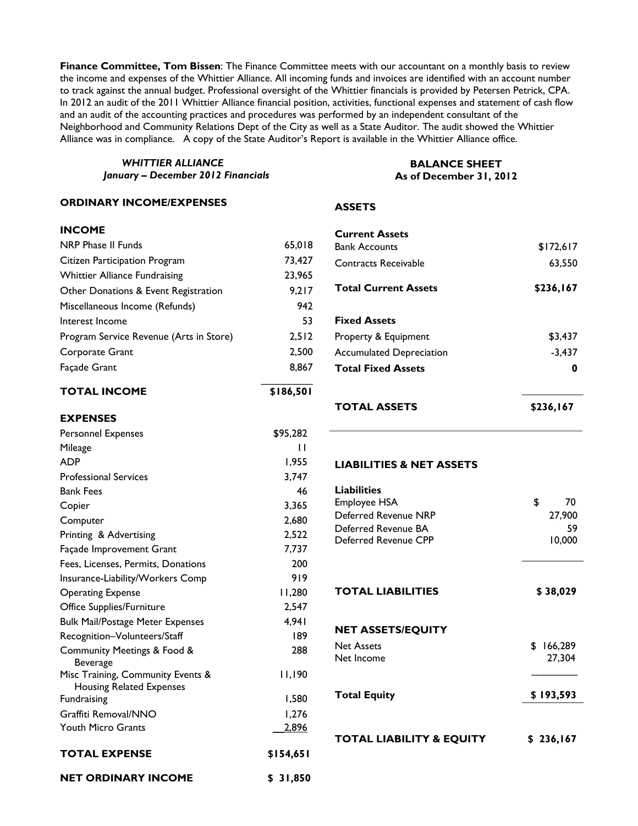**Finance Committee, Tom Bissen**: The Finance Committee meets with our accountant on a monthly basis to review the income and expenses of the Whittier Alliance. All incoming funds and invoices are identified with an account number to track against the annual budget. Professional oversight of the Whittier financials is provided by Petersen Petrick, CPA. In 2012 an audit of the 2011 Whittier Alliance financial position, activities, functional expenses and statement of cash flow and an audit of the accounting practices and procedures was performed by an independent consultant of the Neighborhood and Community Relations Dept of the City as well as a State Auditor. The audit showed the Whittier Alliance was in compliance. A copy of the State Auditor's Report is available in the Whittier Alliance office.

*WHITTIER ALLIANCE January – December 2012 Financials* 

#### **ORDINARY INCOME/EXPENSES**

## **INCOME**

| <b>NRP Phase II Funds</b>               | 65,018 |
|-----------------------------------------|--------|
| Citizen Participation Program           | 73,427 |
| <b>Whittier Alliance Fundraising</b>    | 23,965 |
| Other Donations & Event Registration    | 9,217  |
| Miscellaneous Income (Refunds)          | 942    |
| Interest Income                         | 53     |
| Program Service Revenue (Arts in Store) | 2,512  |
| Corporate Grant                         | 2.500  |
| <b>Facade Grant</b>                     | 8,867  |
|                                         |        |

**TOTAL INCOME \$186,501**

#### **EXPENSES**

| <b>Personnel Expenses</b>                                            | \$95,282     |
|----------------------------------------------------------------------|--------------|
| Mileage                                                              | П            |
| <b>ADP</b>                                                           | 1.955        |
| <b>Professional Services</b>                                         | 3,747        |
| <b>Bank Fees</b>                                                     | 46           |
| Copier                                                               | 3,365        |
| Computer                                                             | 2,680        |
| Printing & Advertising                                               | 2,522        |
| Façade Improvement Grant                                             | 7,737        |
| Fees, Licenses, Permits, Donations                                   | 200          |
| Insurance-Liability/Workers Comp                                     | 919          |
| <b>Operating Expense</b>                                             | 11,280       |
| Office Supplies/Furniture                                            | 2,547        |
| <b>Bulk Mail/Postage Meter Expenses</b>                              | 4,941        |
| Recognition-Volunteers/Staff                                         | 189          |
| Community Meetings & Food &<br><b>Beverage</b>                       | 288          |
| Misc Training, Community Events &<br><b>Housing Related Expenses</b> | 11,190       |
| Fundraising                                                          | 1,580        |
| Graffiti Removal/NNO                                                 | 1,276        |
| <b>Youth Micro Grants</b>                                            | <u>2,896</u> |
| <b>TOTAL EXPENSE</b>                                                 | \$154.651    |
| <b>NET ORDINARY INCOME</b>                                           | \$31,850     |

# **As of December 31, 2012**

### **ASSETS**

| <b>TOTAL ASSETS</b>                           | \$236,167 |
|-----------------------------------------------|-----------|
| <b>Total Fixed Assets</b>                     | 0         |
| <b>Accumulated Depreciation</b>               | $-3,437$  |
| Property & Equipment                          | \$3,437   |
| <b>Fixed Assets</b>                           |           |
| <b>Total Current Assets</b>                   | \$236,167 |
| Contracts Receivable                          | 63,550    |
| <b>Current Assets</b><br><b>Bank Accounts</b> | \$172,617 |

**BALANCE SHEET** 

#### **LIABILITIES & NET ASSETS**

| <b>Liabilities</b><br>Employee HSA<br>Deferred Revenue NRP<br>Deferred Revenue BA<br>Deferred Revenue CPP | \$<br>70<br>27,900<br>59<br>10,000 |
|-----------------------------------------------------------------------------------------------------------|------------------------------------|
| <b>TOTAL LIABILITIES</b>                                                                                  | \$38,029                           |
| <b>NET ASSETS/EQUITY</b><br><b>Net Assets</b><br>Net Income                                               | \$<br>166,289<br>27,304            |
| <b>Total Equity</b>                                                                                       | \$193,593                          |
| TOTAL LIABILITY & EQUITY                                                                                  | \$236,167                          |